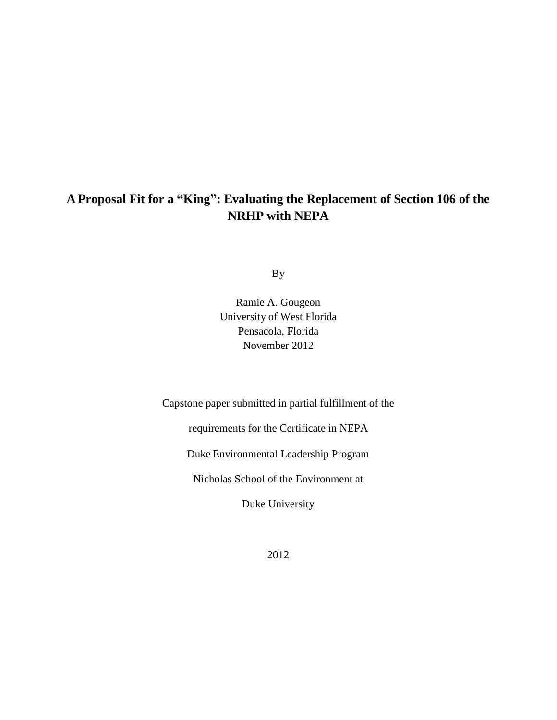## **A Proposal Fit for a "King": Evaluating the Replacement of Section 106 of the NRHP with NEPA**

By

Ramie A. Gougeon University of West Florida Pensacola, Florida November 2012

Capstone paper submitted in partial fulfillment of the

requirements for the Certificate in NEPA

Duke Environmental Leadership Program

Nicholas School of the Environment at

Duke University

2012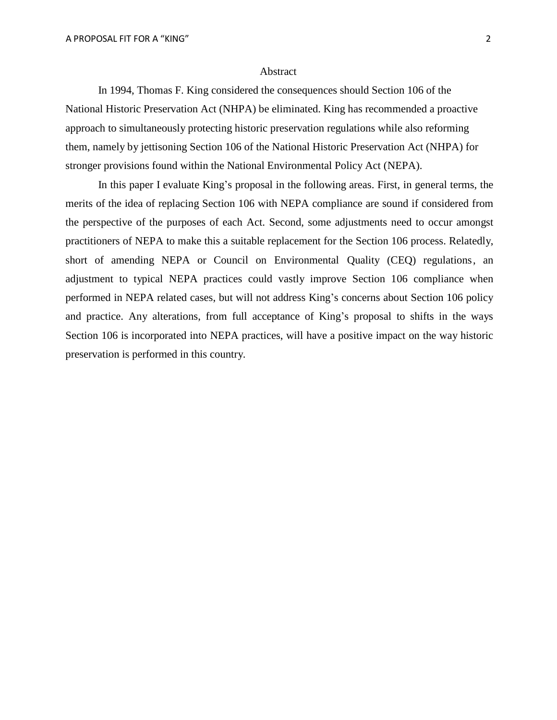## Abstract

In 1994, Thomas F. King considered the consequences should Section 106 of the National Historic Preservation Act (NHPA) be eliminated. King has recommended a proactive approach to simultaneously protecting historic preservation regulations while also reforming them, namely by jettisoning Section 106 of the National Historic Preservation Act (NHPA) for stronger provisions found within the National Environmental Policy Act (NEPA).

In this paper I evaluate King's proposal in the following areas. First, in general terms, the merits of the idea of replacing Section 106 with NEPA compliance are sound if considered from the perspective of the purposes of each Act. Second, some adjustments need to occur amongst practitioners of NEPA to make this a suitable replacement for the Section 106 process. Relatedly, short of amending NEPA or Council on Environmental Quality (CEQ) regulations, an adjustment to typical NEPA practices could vastly improve Section 106 compliance when performed in NEPA related cases, but will not address King's concerns about Section 106 policy and practice. Any alterations, from full acceptance of King's proposal to shifts in the ways Section 106 is incorporated into NEPA practices, will have a positive impact on the way historic preservation is performed in this country.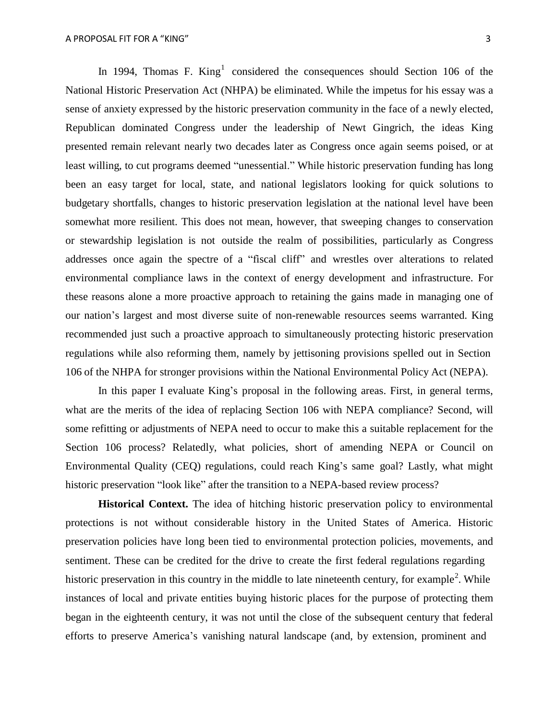In 1994, Thomas F. King<sup>1</sup> considered the consequences should Section 106 of the National Historic Preservation Act (NHPA) be eliminated. While the impetus for his essay was a sense of anxiety expressed by the historic preservation community in the face of a newly elected, Republican dominated Congress under the leadership of Newt Gingrich, the ideas King presented remain relevant nearly two decades later as Congress once again seems poised, or at least willing, to cut programs deemed "unessential." While historic preservation funding has long been an easy target for local, state, and national legislators looking for quick solutions to budgetary shortfalls, changes to historic preservation legislation at the national level have been somewhat more resilient. This does not mean, however, that sweeping changes to conservation or stewardship legislation is not outside the realm of possibilities, particularly as Congress addresses once again the spectre of a "fiscal cliff" and wrestles over alterations to related environmental compliance laws in the context of energy development and infrastructure. For these reasons alone a more proactive approach to retaining the gains made in managing one of our nation's largest and most diverse suite of non-renewable resources seems warranted. King recommended just such a proactive approach to simultaneously protecting historic preservation regulations while also reforming them, namely by jettisoning provisions spelled out in Section 106 of the NHPA for stronger provisions within the National Environmental Policy Act (NEPA).

In this paper I evaluate King's proposal in the following areas. First, in general terms, what are the merits of the idea of replacing Section 106 with NEPA compliance? Second, will some refitting or adjustments of NEPA need to occur to make this a suitable replacement for the Section 106 process? Relatedly, what policies, short of amending NEPA or Council on Environmental Quality (CEQ) regulations, could reach King's same goal? Lastly, what might historic preservation "look like" after the transition to a NEPA-based review process?

**Historical Context.** The idea of hitching historic preservation policy to environmental protections is not without considerable history in the United States of America. Historic preservation policies have long been tied to environmental protection policies, movements, and sentiment. These can be credited for the drive to create the first federal regulations regarding historic preservation in this country in the middle to late nineteenth century, for example<sup>2</sup>. While instances of local and private entities buying historic places for the purpose of protecting them began in the eighteenth century, it was not until the close of the subsequent century that federal efforts to preserve America's vanishing natural landscape (and, by extension, prominent and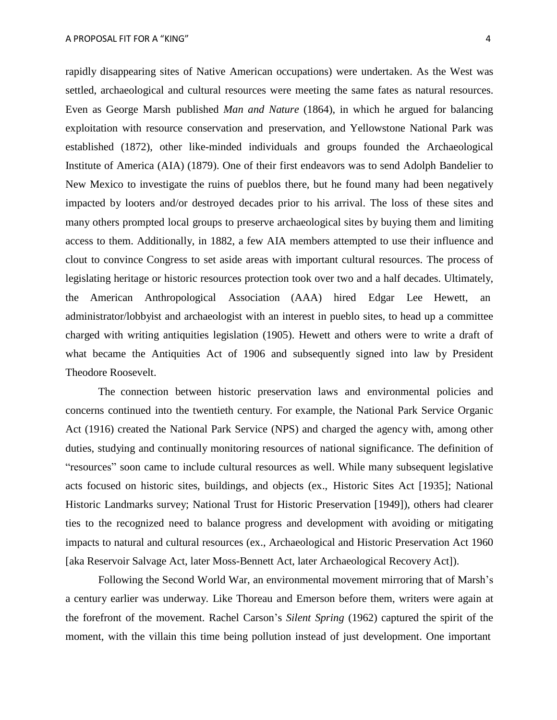rapidly disappearing sites of Native American occupations) were undertaken. As the West was settled, archaeological and cultural resources were meeting the same fates as natural resources. Even as George Marsh published *Man and Nature* (1864), in which he argued for balancing exploitation with resource conservation and preservation, and Yellowstone National Park was established (1872), other like-minded individuals and groups founded the Archaeological Institute of America (AIA) (1879). One of their first endeavors was to send Adolph Bandelier to New Mexico to investigate the ruins of pueblos there, but he found many had been negatively impacted by looters and/or destroyed decades prior to his arrival. The loss of these sites and many others prompted local groups to preserve archaeological sites by buying them and limiting access to them. Additionally, in 1882, a few AIA members attempted to use their influence and clout to convince Congress to set aside areas with important cultural resources. The process of legislating heritage or historic resources protection took over two and a half decades. Ultimately, the American Anthropological Association (AAA) hired Edgar Lee Hewett, an administrator/lobbyist and archaeologist with an interest in pueblo sites, to head up a committee charged with writing antiquities legislation (1905). Hewett and others were to write a draft of what became the Antiquities Act of 1906 and subsequently signed into law by President Theodore Roosevelt.

The connection between historic preservation laws and environmental policies and concerns continued into the twentieth century. For example, the National Park Service Organic Act (1916) created the National Park Service (NPS) and charged the agency with, among other duties, studying and continually monitoring resources of national significance. The definition of "resources" soon came to include cultural resources as well. While many subsequent legislative acts focused on historic sites, buildings, and objects (ex., Historic Sites Act [1935]; National Historic Landmarks survey; National Trust for Historic Preservation [1949]), others had clearer ties to the recognized need to balance progress and development with avoiding or mitigating impacts to natural and cultural resources (ex., Archaeological and Historic Preservation Act 1960 [aka Reservoir Salvage Act, later Moss-Bennett Act, later Archaeological Recovery Act]).

Following the Second World War, an environmental movement mirroring that of Marsh's a century earlier was underway. Like Thoreau and Emerson before them, writers were again at the forefront of the movement. Rachel Carson's *Silent Spring* (1962) captured the spirit of the moment, with the villain this time being pollution instead of just development. One important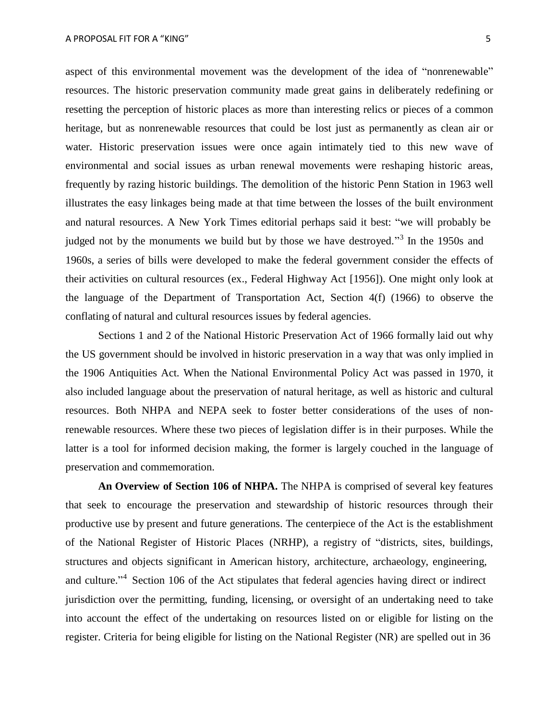aspect of this environmental movement was the development of the idea of "nonrenewable" resources. The historic preservation community made great gains in deliberately redefining or resetting the perception of historic places as more than interesting relics or pieces of a common heritage, but as nonrenewable resources that could be lost just as permanently as clean air or water. Historic preservation issues were once again intimately tied to this new wave of environmental and social issues as urban renewal movements were reshaping historic areas, frequently by razing historic buildings. The demolition of the historic Penn Station in 1963 well illustrates the easy linkages being made at that time between the losses of the built environment and natural resources. A New York Times editorial perhaps said it best: "we will probably be judged not by the monuments we build but by those we have destroyed."<sup>3</sup> In the 1950s and 1960s, a series of bills were developed to make the federal government consider the effects of their activities on cultural resources (ex., Federal Highway Act [1956]). One might only look at the language of the Department of Transportation Act, Section 4(f) (1966) to observe the conflating of natural and cultural resources issues by federal agencies.

Sections 1 and 2 of the National Historic Preservation Act of 1966 formally laid out why the US government should be involved in historic preservation in a way that was only implied in the 1906 Antiquities Act. When the National Environmental Policy Act was passed in 1970, it also included language about the preservation of natural heritage, as well as historic and cultural resources. Both NHPA and NEPA seek to foster better considerations of the uses of nonrenewable resources. Where these two pieces of legislation differ is in their purposes. While the latter is a tool for informed decision making, the former is largely couched in the language of preservation and commemoration.

**An Overview of Section 106 of NHPA.** The NHPA is comprised of several key features that seek to encourage the preservation and stewardship of historic resources through their productive use by present and future generations. The centerpiece of the Act is the establishment of the National Register of Historic Places (NRHP), a registry of "districts, sites, buildings, structures and objects significant in American history, architecture, archaeology, engineering, and culture."<sup>4</sup> Section 106 of the Act stipulates that federal agencies having direct or indirect jurisdiction over the permitting, funding, licensing, or oversight of an undertaking need to take into account the effect of the undertaking on resources listed on or eligible for listing on the register. Criteria for being eligible for listing on the National Register (NR) are spelled out in 36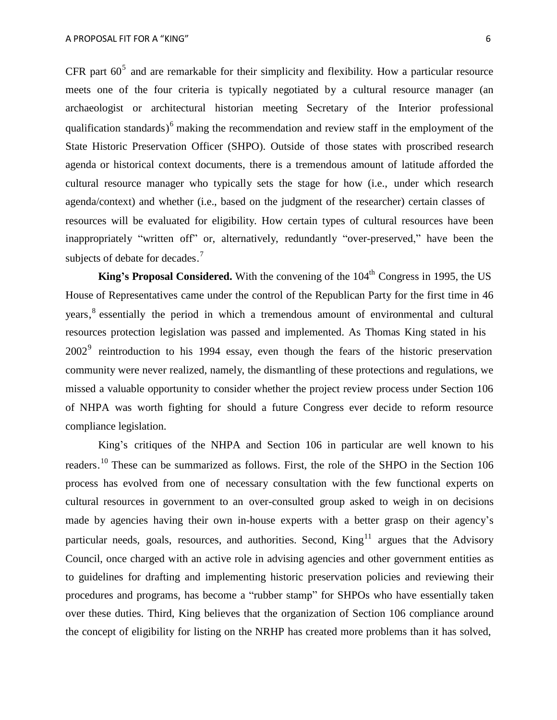CFR part  $60^5$  and are remarkable for their simplicity and flexibility. How a particular resource meets one of the four criteria is typically negotiated by a cultural resource manager (an archaeologist or architectural historian meeting Secretary of the Interior professional qualification standards)<sup>6</sup> making the recommendation and review staff in the employment of the State Historic Preservation Officer (SHPO). Outside of those states with proscribed research agenda or historical context documents, there is a tremendous amount of latitude afforded the cultural resource manager who typically sets the stage for how (i.e., under which research agenda/context) and whether (i.e., based on the judgment of the researcher) certain classes of resources will be evaluated for eligibility. How certain types of cultural resources have been inappropriately "written off" or, alternatively, redundantly "over-preserved," have been the subjects of debate for decades.<sup>7</sup>

**King's Proposal Considered.** With the convening of the  $104<sup>th</sup>$  Congress in 1995, the US House of Representatives came under the control of the Republican Party for the first time in 46 years, 8 essentially the period in which a tremendous amount of environmental and cultural resources protection legislation was passed and implemented. As Thomas King stated in his  $2002<sup>9</sup>$  reintroduction to his 1994 essay, even though the fears of the historic preservation community were never realized, namely, the dismantling of these protections and regulations, we missed a valuable opportunity to consider whether the project review process under Section 106 of NHPA was worth fighting for should a future Congress ever decide to reform resource compliance legislation.

King's critiques of the NHPA and Section 106 in particular are well known to his readers.<sup>10</sup> These can be summarized as follows. First, the role of the SHPO in the Section 106 process has evolved from one of necessary consultation with the few functional experts on cultural resources in government to an over-consulted group asked to weigh in on decisions made by agencies having their own in-house experts with a better grasp on their agency's particular needs, goals, resources, and authorities. Second,  $King<sup>11</sup>$  argues that the Advisory Council, once charged with an active role in advising agencies and other government entities as to guidelines for drafting and implementing historic preservation policies and reviewing their procedures and programs, has become a "rubber stamp" for SHPOs who have essentially taken over these duties. Third, King believes that the organization of Section 106 compliance around the concept of eligibility for listing on the NRHP has created more problems than it has solved,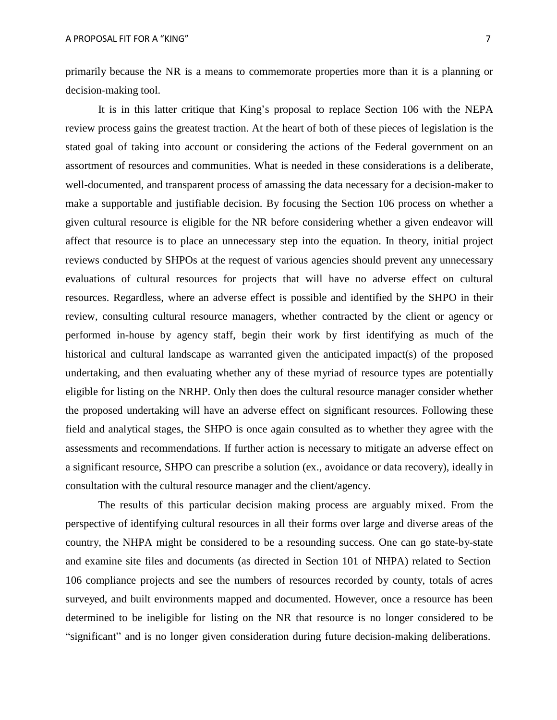primarily because the NR is a means to commemorate properties more than it is a planning or decision-making tool.

It is in this latter critique that King's proposal to replace Section 106 with the NEPA review process gains the greatest traction. At the heart of both of these pieces of legislation is the stated goal of taking into account or considering the actions of the Federal government on an assortment of resources and communities. What is needed in these considerations is a deliberate, well-documented, and transparent process of amassing the data necessary for a decision-maker to make a supportable and justifiable decision. By focusing the Section 106 process on whether a given cultural resource is eligible for the NR before considering whether a given endeavor will affect that resource is to place an unnecessary step into the equation. In theory, initial project reviews conducted by SHPOs at the request of various agencies should prevent any unnecessary evaluations of cultural resources for projects that will have no adverse effect on cultural resources. Regardless, where an adverse effect is possible and identified by the SHPO in their review, consulting cultural resource managers, whether contracted by the client or agency or performed in-house by agency staff, begin their work by first identifying as much of the historical and cultural landscape as warranted given the anticipated impact(s) of the proposed undertaking, and then evaluating whether any of these myriad of resource types are potentially eligible for listing on the NRHP. Only then does the cultural resource manager consider whether the proposed undertaking will have an adverse effect on significant resources. Following these field and analytical stages, the SHPO is once again consulted as to whether they agree with the assessments and recommendations. If further action is necessary to mitigate an adverse effect on a significant resource, SHPO can prescribe a solution (ex., avoidance or data recovery), ideally in consultation with the cultural resource manager and the client/agency.

The results of this particular decision making process are arguably mixed. From the perspective of identifying cultural resources in all their forms over large and diverse areas of the country, the NHPA might be considered to be a resounding success. One can go state-by-state and examine site files and documents (as directed in Section 101 of NHPA) related to Section 106 compliance projects and see the numbers of resources recorded by county, totals of acres surveyed, and built environments mapped and documented. However, once a resource has been determined to be ineligible for listing on the NR that resource is no longer considered to be "significant" and is no longer given consideration during future decision-making deliberations.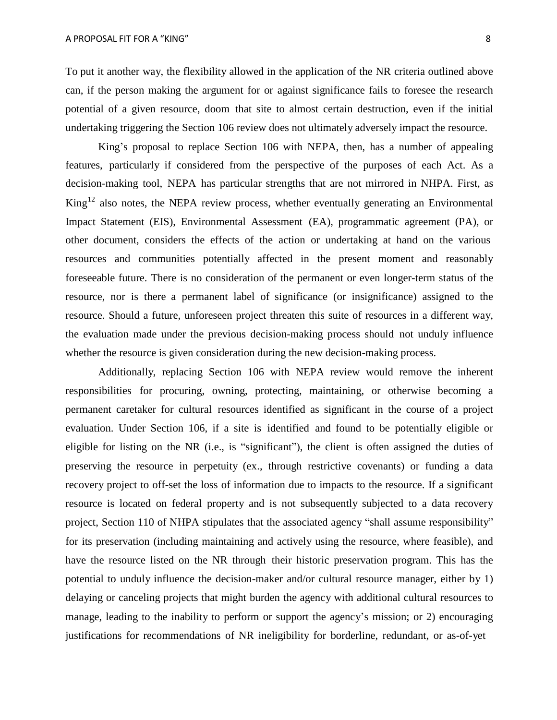To put it another way, the flexibility allowed in the application of the NR criteria outlined above can, if the person making the argument for or against significance fails to foresee the research potential of a given resource, doom that site to almost certain destruction, even if the initial undertaking triggering the Section 106 review does not ultimately adversely impact the resource.

King's proposal to replace Section 106 with NEPA, then, has a number of appealing features, particularly if considered from the perspective of the purposes of each Act. As a decision-making tool, NEPA has particular strengths that are not mirrored in NHPA. First, as King<sup>12</sup> also notes, the NEPA review process, whether eventually generating an Environmental Impact Statement (EIS), Environmental Assessment (EA), programmatic agreement (PA), or other document, considers the effects of the action or undertaking at hand on the various resources and communities potentially affected in the present moment and reasonably foreseeable future. There is no consideration of the permanent or even longer-term status of the resource, nor is there a permanent label of significance (or insignificance) assigned to the resource. Should a future, unforeseen project threaten this suite of resources in a different way, the evaluation made under the previous decision-making process should not unduly influence whether the resource is given consideration during the new decision-making process.

Additionally, replacing Section 106 with NEPA review would remove the inherent responsibilities for procuring, owning, protecting, maintaining, or otherwise becoming a permanent caretaker for cultural resources identified as significant in the course of a project evaluation. Under Section 106, if a site is identified and found to be potentially eligible or eligible for listing on the NR (i.e., is "significant"), the client is often assigned the duties of preserving the resource in perpetuity (ex., through restrictive covenants) or funding a data recovery project to off-set the loss of information due to impacts to the resource. If a significant resource is located on federal property and is not subsequently subjected to a data recovery project, Section 110 of NHPA stipulates that the associated agency "shall assume responsibility" for its preservation (including maintaining and actively using the resource, where feasible), and have the resource listed on the NR through their historic preservation program. This has the potential to unduly influence the decision-maker and/or cultural resource manager, either by 1) delaying or canceling projects that might burden the agency with additional cultural resources to manage, leading to the inability to perform or support the agency's mission; or 2) encouraging justifications for recommendations of NR ineligibility for borderline, redundant, or as-of-yet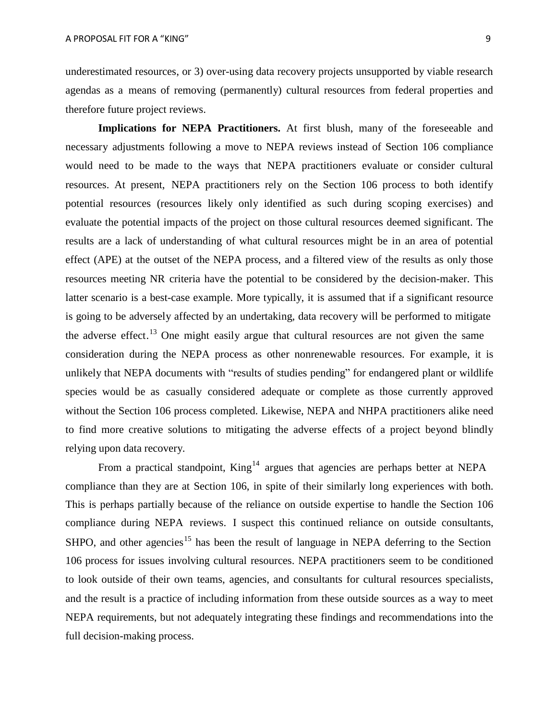underestimated resources, or 3) over-using data recovery projects unsupported by viable research agendas as a means of removing (permanently) cultural resources from federal properties and therefore future project reviews.

**Implications for NEPA Practitioners.** At first blush, many of the foreseeable and necessary adjustments following a move to NEPA reviews instead of Section 106 compliance would need to be made to the ways that NEPA practitioners evaluate or consider cultural resources. At present, NEPA practitioners rely on the Section 106 process to both identify potential resources (resources likely only identified as such during scoping exercises) and evaluate the potential impacts of the project on those cultural resources deemed significant. The results are a lack of understanding of what cultural resources might be in an area of potential effect (APE) at the outset of the NEPA process, and a filtered view of the results as only those resources meeting NR criteria have the potential to be considered by the decision-maker. This latter scenario is a best-case example. More typically, it is assumed that if a significant resource is going to be adversely affected by an undertaking, data recovery will be performed to mitigate the adverse effect.<sup>13</sup> One might easily argue that cultural resources are not given the same consideration during the NEPA process as other nonrenewable resources. For example, it is unlikely that NEPA documents with "results of studies pending" for endangered plant or wildlife species would be as casually considered adequate or complete as those currently approved without the Section 106 process completed. Likewise, NEPA and NHPA practitioners alike need to find more creative solutions to mitigating the adverse effects of a project beyond blindly relying upon data recovery.

From a practical standpoint, King<sup>14</sup> argues that agencies are perhaps better at NEPA compliance than they are at Section 106, in spite of their similarly long experiences with both. This is perhaps partially because of the reliance on outside expertise to handle the Section 106 compliance during NEPA reviews. I suspect this continued reliance on outside consultants, SHPO, and other agencies<sup>15</sup> has been the result of language in NEPA deferring to the Section 106 process for issues involving cultural resources. NEPA practitioners seem to be conditioned to look outside of their own teams, agencies, and consultants for cultural resources specialists, and the result is a practice of including information from these outside sources as a way to meet NEPA requirements, but not adequately integrating these findings and recommendations into the full decision-making process.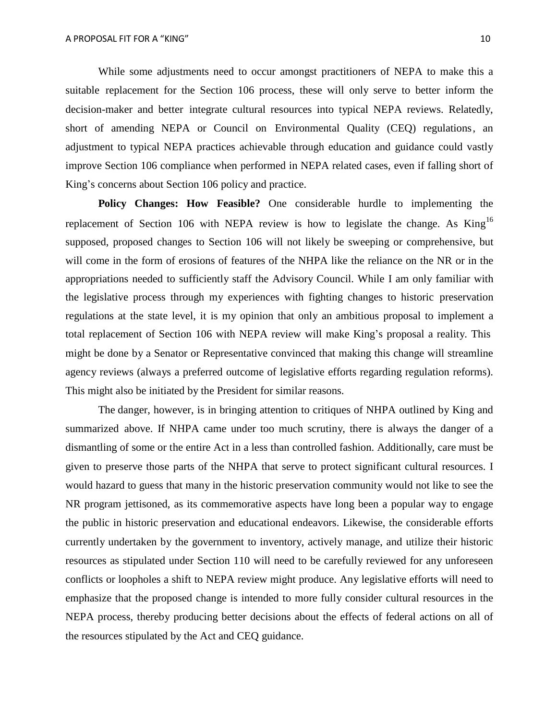While some adjustments need to occur amongst practitioners of NEPA to make this a suitable replacement for the Section 106 process, these will only serve to better inform the decision-maker and better integrate cultural resources into typical NEPA reviews. Relatedly, short of amending NEPA or Council on Environmental Quality (CEQ) regulations, an adjustment to typical NEPA practices achievable through education and guidance could vastly improve Section 106 compliance when performed in NEPA related cases, even if falling short of King's concerns about Section 106 policy and practice.

**Policy Changes: How Feasible?** One considerable hurdle to implementing the replacement of Section 106 with NEPA review is how to legislate the change. As  $King^{16}$ supposed, proposed changes to Section 106 will not likely be sweeping or comprehensive, but will come in the form of erosions of features of the NHPA like the reliance on the NR or in the appropriations needed to sufficiently staff the Advisory Council. While I am only familiar with the legislative process through my experiences with fighting changes to historic preservation regulations at the state level, it is my opinion that only an ambitious proposal to implement a total replacement of Section 106 with NEPA review will make King's proposal a reality. This might be done by a Senator or Representative convinced that making this change will streamline agency reviews (always a preferred outcome of legislative efforts regarding regulation reforms). This might also be initiated by the President for similar reasons.

The danger, however, is in bringing attention to critiques of NHPA outlined by King and summarized above. If NHPA came under too much scrutiny, there is always the danger of a dismantling of some or the entire Act in a less than controlled fashion. Additionally, care must be given to preserve those parts of the NHPA that serve to protect significant cultural resources. I would hazard to guess that many in the historic preservation community would not like to see the NR program jettisoned, as its commemorative aspects have long been a popular way to engage the public in historic preservation and educational endeavors. Likewise, the considerable efforts currently undertaken by the government to inventory, actively manage, and utilize their historic resources as stipulated under Section 110 will need to be carefully reviewed for any unforeseen conflicts or loopholes a shift to NEPA review might produce. Any legislative efforts will need to emphasize that the proposed change is intended to more fully consider cultural resources in the NEPA process, thereby producing better decisions about the effects of federal actions on all of the resources stipulated by the Act and CEQ guidance.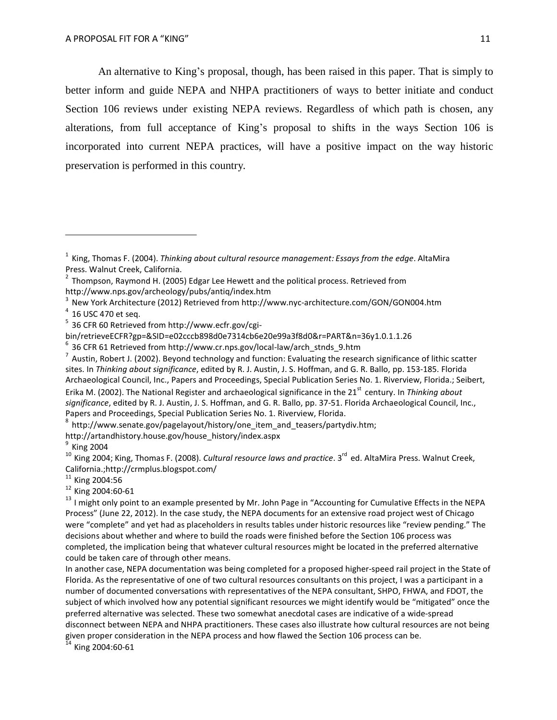An alternative to King's proposal, though, has been raised in this paper. That is simply to better inform and guide NEPA and NHPA practitioners of ways to better initiate and conduct Section 106 reviews under existing NEPA reviews. Regardless of which path is chosen, any alterations, from full acceptance of King's proposal to shifts in the ways Section 106 is incorporated into current NEPA practices, will have a positive impact on the way historic preservation is performed in this country.

 $4$  16 USC 470 et seq.

 $8$  [http://www.senate.gov/pagelayout/history/one\\_item\\_and\\_teasers/partydiv.htm;](http://www.senate.gov/pagelayout/history/one_item_and_teasers/partydiv.htm)

[http://artandhistory.house.gov/house\\_history/index.aspx](http://artandhistory.house.gov/house_history/index.aspx)

 $9$  King 2004

<sup>&</sup>lt;sup>1</sup> King. Thomas F. (2004). *Thinking about cultural resource management: Essays from the edge.* AltaMira Press. Walnut Creek, California.

 $2$  Thompson, Raymond H. (2005) Edgar Lee Hewett and the political process. Retrieved from <http://www.nps.gov/archeology/pubs/antiq/index.htm>

 $3$  New York Architecture (2012) Retrieved from <http://www.nyc-architecture.com/GON/GON004.htm>

<sup>&</sup>lt;sup>5</sup> 36 CFR 60 Retrieved from <http://www.ecfr.gov/cgi->

bin/retrieveECFR?gp=&SID=e02cccb898d0e7314cb6e20e99a3f8d0&r=PART&n=36y1.0.1.1.26

 $6$  36 CFR 61 Retrieved from [http://www.cr.nps.gov/local-law/arch\\_stnds\\_9.htm](http://www.cr.nps.gov/local-law/arch_stnds_9.htm)

 $^7$  Austin, Robert J. (2002). Beyond technology and function: Evaluating the research significance of lithic scatter sites. In *Thinking about significance*, edited by R. J. Austin, J. S. Hoffman, and G. R. Ballo, pp. 153-185. Florida Archaeological Council, Inc., Papers and Proceedings, Special Publication Series No. 1. Riverview, Florida.; Seibert, Erika M. (2002). The National Register and archaeological significance in the 21<sup>st</sup> century. In *Thinking about significance*, edited by R. J. Austin, J. S. Hoffman, and G. R. Ballo, pp. 37-51. Florida Archaeological Council, Inc., Papers and Proceedings, Special Publication Series No. 1. Riverview, Florida.

<sup>&</sup>lt;sup>10</sup> King 2004; King, Thomas F. (2008). *Cultural resource laws and practice*. 3<sup>rd</sup> ed. AltaMira Press. Walnut Creek, Californi[a.;http://crmplus.blogspot.com/](http://crmplus.blogspot.com/)

 $^{11}$  King 2004:56

<sup>&</sup>lt;sup>12</sup> King 2004:60-61

<sup>&</sup>lt;sup>13</sup> I might only point to an example presented by Mr. John Page in "Accounting for Cumulative Effects in the NEPA Process" (June 22, 2012). In the case study, the NEPA documents for an extensive road project west of Chicago were "complete" and yet had as placeholders in results tables under historic resources like "review pending." The decisions about whether and where to build the roads were finished before the Section 106 process was completed, the implication being that whatever cultural resources might be located in the preferred alternative could be taken care of through other means.

In another case, NEPA documentation was being completed for a proposed higher-speed rail project in the State of Florida. As the representative of one of two cultural resources consultants on this project, I was a participant in a number of documented conversations with representatives of the NEPA consultant, SHPO, FHWA, and FDOT, the subject of which involved how any potential significant resources we might identify would be "mitigated" once the preferred alternative was selected. These two somewhat anecdotal cases are indicative of a wide-spread disconnect between NEPA and NHPA practitioners. These cases also illustrate how cultural resources are not being given proper consideration in the NEPA process and how flawed the Section 106 process can be.<br><sup>14</sup> King 2004:60-61